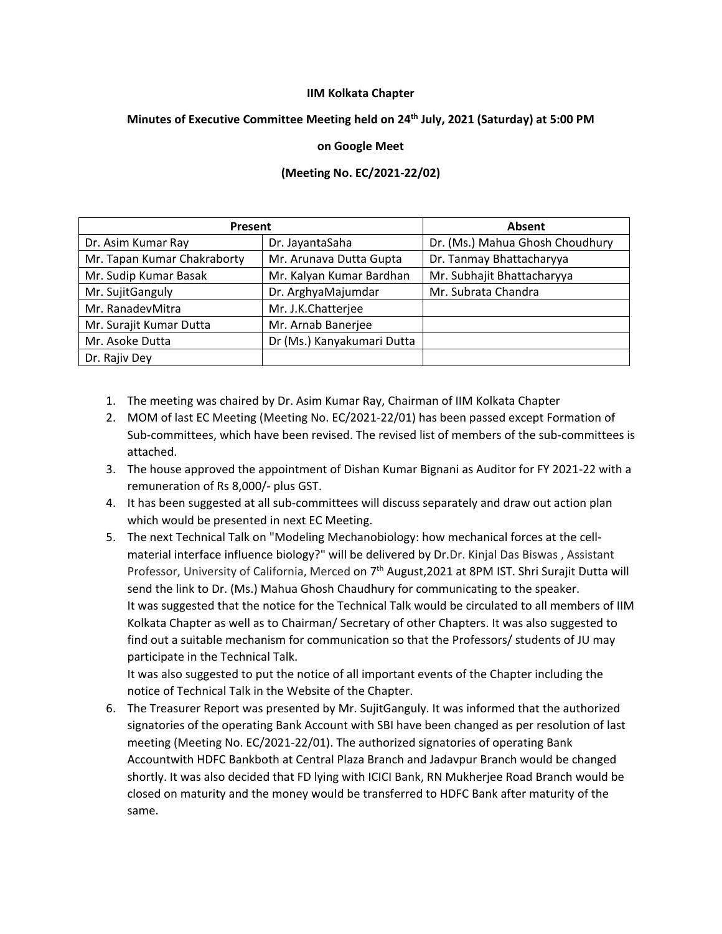## **IIM Kolkata Chapter**

## **Minutes of Executive Committee Meeting held on 24th July, 2021 (Saturday) at 5:00 PM**

## **on Google Meet**

## **(Meeting No. EC/2021-22/02)**

| Present                     |                            | Absent                          |
|-----------------------------|----------------------------|---------------------------------|
| Dr. Asim Kumar Ray          | Dr. JayantaSaha            | Dr. (Ms.) Mahua Ghosh Choudhury |
| Mr. Tapan Kumar Chakraborty | Mr. Arunava Dutta Gupta    | Dr. Tanmay Bhattacharyya        |
| Mr. Sudip Kumar Basak       | Mr. Kalyan Kumar Bardhan   | Mr. Subhajit Bhattacharyya      |
| Mr. SujitGanguly            | Dr. ArghyaMajumdar         | Mr. Subrata Chandra             |
| Mr. RanadevMitra            | Mr. J.K.Chatterjee         |                                 |
| Mr. Surajit Kumar Dutta     | Mr. Arnab Banerjee         |                                 |
| Mr. Asoke Dutta             | Dr (Ms.) Kanyakumari Dutta |                                 |
| Dr. Rajiv Dey               |                            |                                 |

- 1. The meeting was chaired by Dr. Asim Kumar Ray, Chairman of IIM Kolkata Chapter
- 2. MOM of last EC Meeting (Meeting No. EC/2021-22/01) has been passed except Formation of Sub-committees, which have been revised. The revised list of members of the sub-committees is attached.
- 3. The house approved the appointment of Dishan Kumar Bignani as Auditor for FY 2021-22 with a remuneration of Rs 8,000/- plus GST.
- 4. It has been suggested at all sub-committees will discuss separately and draw out action plan which would be presented in next EC Meeting.
- 5. The next Technical Talk on "Modeling Mechanobiology: how mechanical forces at the cellmaterial interface influence biology?" will be delivered by Dr.Dr. Kinjal Das Biswas , Assistant Professor, University of California, Merced on 7<sup>th</sup> August, 2021 at 8PM IST. Shri Surajit Dutta will send the link to Dr. (Ms.) Mahua Ghosh Chaudhury for communicating to the speaker. It was suggested that the notice for the Technical Talk would be circulated to all members of IIM Kolkata Chapter as well as to Chairman/ Secretary of other Chapters. It was also suggested to find out a suitable mechanism for communication so that the Professors/ students of JU may participate in the Technical Talk.

It was also suggested to put the notice of all important events of the Chapter including the notice of Technical Talk in the Website of the Chapter.

6. The Treasurer Report was presented by Mr. SujitGanguly. It was informed that the authorized signatories of the operating Bank Account with SBI have been changed as per resolution of last meeting (Meeting No. EC/2021-22/01). The authorized signatories of operating Bank Accountwith HDFC Bankboth at Central Plaza Branch and Jadavpur Branch would be changed shortly. It was also decided that FD lying with ICICI Bank, RN Mukherjee Road Branch would be closed on maturity and the money would be transferred to HDFC Bank after maturity of the same.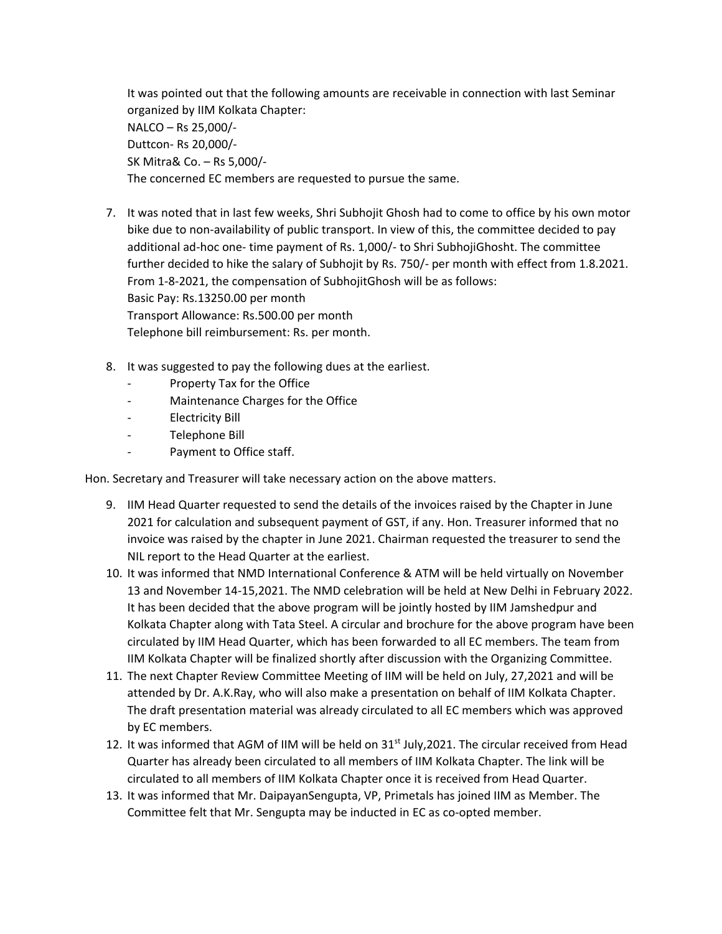It was pointed out that the following amounts are receivable in connection with last Seminar organized by IIM Kolkata Chapter: NALCO – Rs 25,000/- Duttcon- Rs 20,000/- SK Mitra& Co. – Rs 5,000/- The concerned EC members are requested to pursue the same.

- 7. It was noted that in last few weeks, Shri Subhojit Ghosh had to come to office by his own motor bike due to non-availability of public transport. In view of this, the committee decided to pay additional ad-hoc one- time payment of Rs. 1,000/- to Shri SubhojiGhosht. The committee further decided to hike the salary of Subhojit by Rs. 750/- per month with effect from 1.8.2021. From 1-8-2021, the compensation of SubhojitGhosh will be as follows: Basic Pay: Rs.13250.00 per month Transport Allowance: Rs.500.00 per month Telephone bill reimbursement: Rs. per month.
- 8. It was suggested to pay the following dues at the earliest.
	- Property Tax for the Office
	- Maintenance Charges for the Office
	- Electricity Bill
	- Telephone Bill
	- Payment to Office staff.

Hon. Secretary and Treasurer will take necessary action on the above matters.

- 9. IIM Head Quarter requested to send the details of the invoices raised by the Chapter in June 2021 for calculation and subsequent payment of GST, if any. Hon. Treasurer informed that no invoice was raised by the chapter in June 2021. Chairman requested the treasurer to send the NIL report to the Head Quarter at the earliest.
- 10. It was informed that NMD International Conference & ATM will be held virtually on November 13 and November 14-15,2021. The NMD celebration will be held at New Delhi in February 2022. It has been decided that the above program will be jointly hosted by IIM Jamshedpur and Kolkata Chapter along with Tata Steel. A circular and brochure for the above program have been circulated by IIM Head Quarter, which has been forwarded to all EC members. The team from IIM Kolkata Chapter will be finalized shortly after discussion with the Organizing Committee.
- 11. The next Chapter Review Committee Meeting of IIM will be held on July, 27,2021 and will be attended by Dr. A.K.Ray, who will also make a presentation on behalf of IIM Kolkata Chapter. The draft presentation material was already circulated to all EC members which was approved by EC members.
- 12. It was informed that AGM of IIM will be held on  $31<sup>st</sup>$  July, 2021. The circular received from Head Quarter has already been circulated to all members of IIM Kolkata Chapter. The link will be circulated to all members of IIM Kolkata Chapter once it is received from Head Quarter.
- 13. It was informed that Mr. DaipayanSengupta, VP, Primetals has joined IIM as Member. The Committee felt that Mr. Sengupta may be inducted in EC as co-opted member.